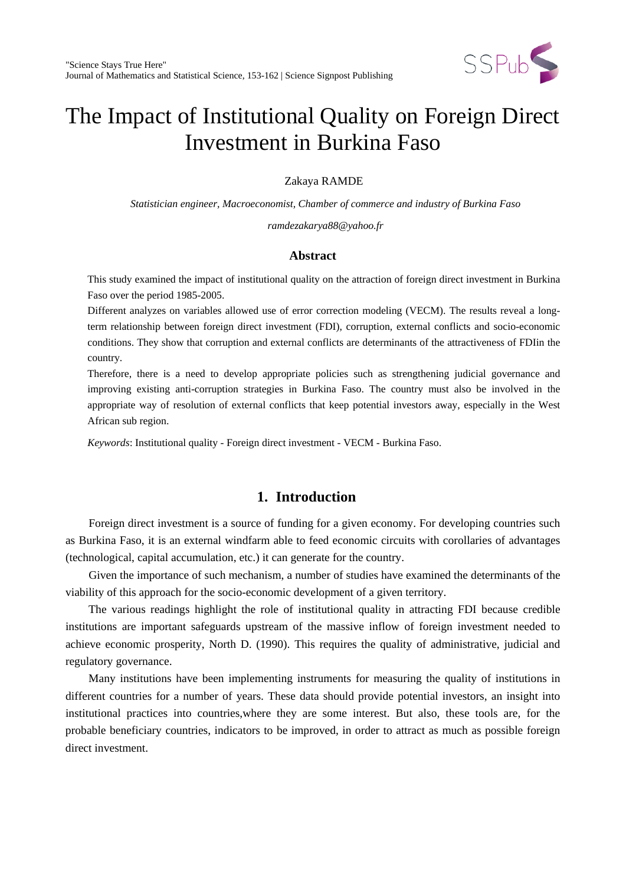

Zakaya RAMDE

*Statistician engineer, Macroeconomist, Chamber of commerce and industry of Burkina Faso*

*ramdezakarya88@yahoo.fr*

# **Abstract**

This study examined the impact of institutional quality on the attraction of foreign direct investment in Burkina Faso over the period 1985-2005.

Different analyzes on variables allowed use of error correction modeling (VECM). The results reveal a longterm relationship between foreign direct investment (FDI), corruption, external conflicts and socio-economic conditions. They show that corruption and external conflicts are determinants of the attractiveness of FDIin the country.

Therefore, there is a need to develop appropriate policies such as strengthening judicial governance and improving existing anti-corruption strategies in Burkina Faso. The country must also be involved in the appropriate way of resolution of external conflicts that keep potential investors away, especially in the West African sub region.

*Keywords*: Institutional quality - Foreign direct investment - VECM - Burkina Faso.

# **1. Introduction**

Foreign direct investment is a source of funding for a given economy. For developing countries such as Burkina Faso, it is an external windfarm able to feed economic circuits with corollaries of advantages (technological, capital accumulation, etc.) it can generate for the country.

Given the importance of such mechanism, a number of studies have examined the determinants of the viability of this approach for the socio-economic development of a given territory.

The various readings highlight the role of institutional quality in attracting FDI because credible institutions are important safeguards upstream of the massive inflow of foreign investment needed to achieve economic prosperity, North D. (1990). This requires the quality of administrative, judicial and regulatory governance.

Many institutions have been implementing instruments for measuring the quality of institutions in different countries for a number of years. These data should provide potential investors, an insight into institutional practices into countries,where they are some interest. But also, these tools are, for the probable beneficiary countries, indicators to be improved, in order to attract as much as possible foreign direct investment.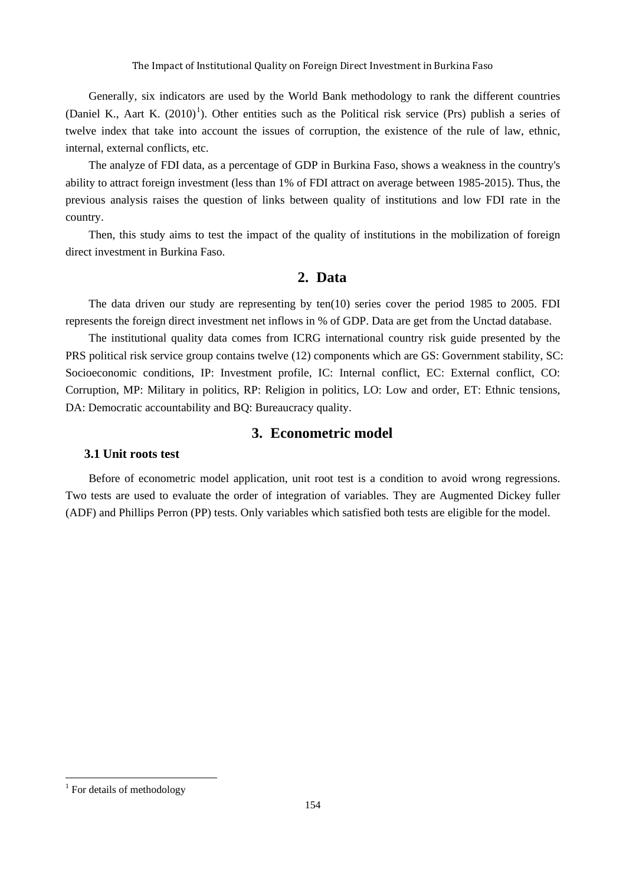Generally, six indicators are used by the World Bank methodology to rank the different countries (Daniel K., Aart K.  $(2010)^1$  $(2010)^1$  $(2010)^1$ ). Other entities such as the Political risk service (Prs) publish a series of twelve index that take into account the issues of corruption, the existence of the rule of law, ethnic, internal, external conflicts, etc.

The analyze of FDI data, as a percentage of GDP in Burkina Faso, shows a weakness in the country's ability to attract foreign investment (less than 1% of FDI attract on average between 1985-2015). Thus, the previous analysis raises the question of links between quality of institutions and low FDI rate in the country.

Then, this study aims to test the impact of the quality of institutions in the mobilization of foreign direct investment in Burkina Faso.

# **2. Data**

The data driven our study are representing by ten(10) series cover the period 1985 to 2005. FDI represents the foreign direct investment net inflows in % of GDP. Data are get from the Unctad database.

The institutional quality data comes from ICRG international country risk guide presented by the PRS political risk service group contains twelve (12) components which are GS: Government stability, SC: Socioeconomic conditions, IP: Investment profile, IC: Internal conflict, EC: External conflict, CO: Corruption, MP: Military in politics, RP: Religion in politics, LO: Low and order, ET: Ethnic tensions, DA: Democratic accountability and BQ: Bureaucracy quality.

# **3. Econometric model**

## **3.1 Unit roots test**

Before of econometric model application, unit root test is a condition to avoid wrong regressions. Two tests are used to evaluate the order of integration of variables. They are Augmented Dickey fuller (ADF) and Phillips Perron (PP) tests. Only variables which satisfied both tests are eligible for the model.

 $\overline{\phantom{a}}$ 

<span id="page-1-0"></span> $1$  For details of methodology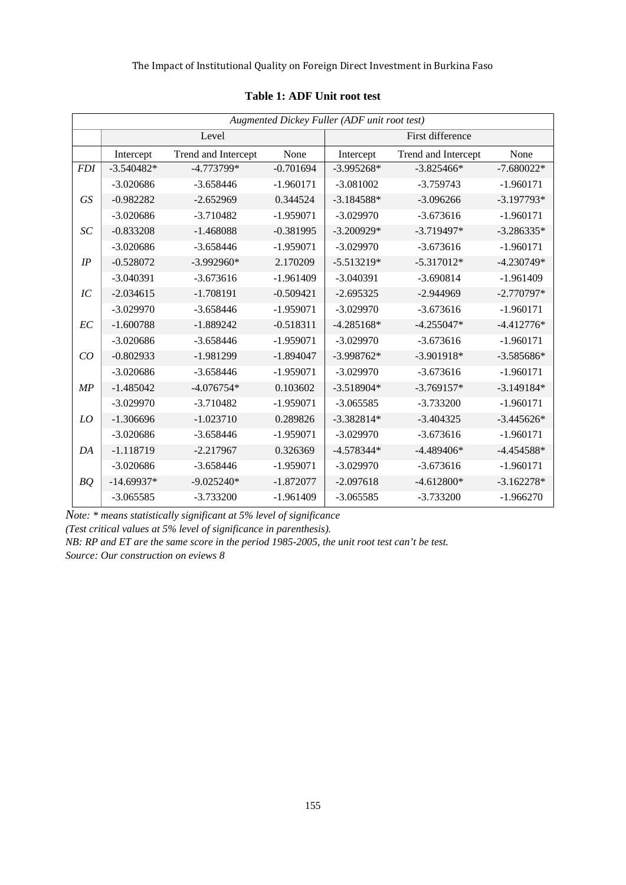| Augmented Dickey Fuller (ADF unit root test) |              |                     |             |                  |                     |              |  |
|----------------------------------------------|--------------|---------------------|-------------|------------------|---------------------|--------------|--|
|                                              |              | Level               |             | First difference |                     |              |  |
|                                              | Intercept    | Trend and Intercept | None        | Intercept        | Trend and Intercept | None         |  |
| <b>FDI</b>                                   | $-3.540482*$ | $-4.773799*$        | $-0.701694$ | $-3.995268*$     | $-3.825466*$        | $-7.680022*$ |  |
|                                              | $-3.020686$  | $-3.658446$         | $-1.960171$ | $-3.081002$      | $-3.759743$         | $-1.960171$  |  |
| GS                                           | $-0.982282$  | $-2.652969$         | 0.344524    | $-3.184588*$     | $-3.096266$         | $-3.197793*$ |  |
|                                              | $-3.020686$  | $-3.710482$         | $-1.959071$ | $-3.029970$      | $-3.673616$         | $-1.960171$  |  |
| SC                                           | $-0.833208$  | $-1.468088$         | $-0.381995$ | $-3.200929*$     | $-3.719497*$        | $-3.286335*$ |  |
|                                              | $-3.020686$  | $-3.658446$         | $-1.959071$ | $-3.029970$      | $-3.673616$         | $-1.960171$  |  |
| IP                                           | $-0.528072$  | $-3.992960*$        | 2.170209    | $-5.513219*$     | $-5.317012*$        | $-4.230749*$ |  |
|                                              | $-3.040391$  | $-3.673616$         | $-1.961409$ | $-3.040391$      | $-3.690814$         | $-1.961409$  |  |
| IC                                           | $-2.034615$  | $-1.708191$         | $-0.509421$ | $-2.695325$      | $-2.944969$         | $-2.770797*$ |  |
|                                              | $-3.029970$  | $-3.658446$         | $-1.959071$ | $-3.029970$      | $-3.673616$         | $-1.960171$  |  |
| EC                                           | $-1.600788$  | $-1.889242$         | $-0.518311$ | $-4.285168*$     | $-4.255047*$        | $-4.412776*$ |  |
|                                              | $-3.020686$  | $-3.658446$         | $-1.959071$ | $-3.029970$      | $-3.673616$         | $-1.960171$  |  |
| CO                                           | $-0.802933$  | $-1.981299$         | $-1.894047$ | $-3.998762*$     | $-3.901918*$        | $-3.585686*$ |  |
|                                              | $-3.020686$  | $-3.658446$         | $-1.959071$ | $-3.029970$      | $-3.673616$         | $-1.960171$  |  |
| MP                                           | $-1.485042$  | $-4.076754*$        | 0.103602    | $-3.518904*$     | $-3.769157*$        | $-3.149184*$ |  |
|                                              | $-3.029970$  | $-3.710482$         | $-1.959071$ | $-3.065585$      | $-3.733200$         | $-1.960171$  |  |
| LO                                           | $-1.306696$  | $-1.023710$         | 0.289826    | $-3.382814*$     | $-3.404325$         | $-3.445626*$ |  |
|                                              | $-3.020686$  | $-3.658446$         | $-1.959071$ | $-3.029970$      | $-3.673616$         | $-1.960171$  |  |
| DA                                           | $-1.118719$  | $-2.217967$         | 0.326369    | $-4.578344*$     | $-4.489406*$        | $-4.454588*$ |  |
|                                              | $-3.020686$  | $-3.658446$         | $-1.959071$ | $-3.029970$      | $-3.673616$         | $-1.960171$  |  |
| BQ                                           | $-14.69937*$ | $-9.025240*$        | $-1.872077$ | $-2.097618$      | $-4.612800*$        | $-3.162278*$ |  |
|                                              | $-3.065585$  | $-3.733200$         | $-1.961409$ | $-3.065585$      | $-3.733200$         | $-1.966270$  |  |

## **Table 1: ADF Unit root test**

*Note: \* means statistically significant at 5% level of significance*

*(Test critical values at 5% level of significance in parenthesis).*

*NB: RP and ET are the same score in the period 1985-2005, the unit root test can't be test. Source: Our construction on eviews 8*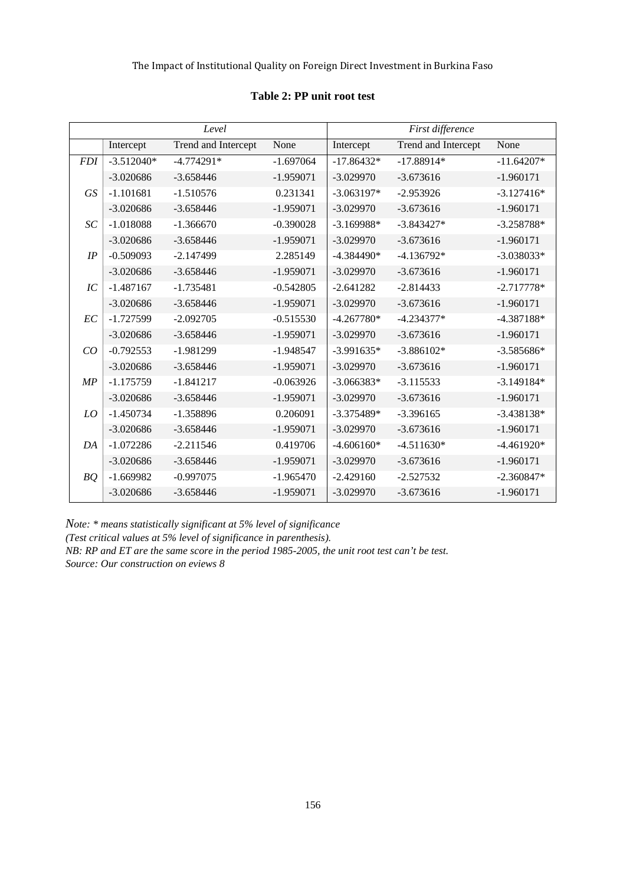|            |              | Level               |             | First difference |                     |              |
|------------|--------------|---------------------|-------------|------------------|---------------------|--------------|
|            | Intercept    | Trend and Intercept | None        | Intercept        | Trend and Intercept | None         |
| <b>FDI</b> | $-3.512040*$ | $-4.774291*$        | $-1.697064$ | $-17.86432*$     | $-17.88914*$        | $-11.64207*$ |
|            | $-3.020686$  | $-3.658446$         | $-1.959071$ | $-3.029970$      | $-3.673616$         | $-1.960171$  |
| <b>GS</b>  | $-1.101681$  | $-1.510576$         | 0.231341    | $-3.063197*$     | $-2.953926$         | $-3.127416*$ |
|            | $-3.020686$  | $-3.658446$         | $-1.959071$ | $-3.029970$      | $-3.673616$         | $-1.960171$  |
| SC         | $-1.018088$  | $-1.366670$         | $-0.390028$ | $-3.169988*$     | $-3.843427*$        | $-3.258788*$ |
|            | $-3.020686$  | $-3.658446$         | $-1.959071$ | $-3.029970$      | $-3.673616$         | $-1.960171$  |
| IP         | $-0.509093$  | $-2.147499$         | 2.285149    | $-4.384490*$     | $-4.136792*$        | $-3.038033*$ |
|            | $-3.020686$  | $-3.658446$         | $-1.959071$ | $-3.029970$      | $-3.673616$         | $-1.960171$  |
| IC         | $-1.487167$  | $-1.735481$         | $-0.542805$ | $-2.641282$      | $-2.814433$         | $-2.717778*$ |
|            | $-3.020686$  | $-3.658446$         | $-1.959071$ | $-3.029970$      | $-3.673616$         | $-1.960171$  |
| EC         | $-1.727599$  | $-2.092705$         | $-0.515530$ | $-4.267780*$     | $-4.234377*$        | $-4.387188*$ |
|            | $-3.020686$  | $-3.658446$         | $-1.959071$ | $-3.029970$      | $-3.673616$         | $-1.960171$  |
| CO         | $-0.792553$  | $-1.981299$         | $-1.948547$ | $-3.991635*$     | $-3.886102*$        | $-3.585686*$ |
|            | $-3.020686$  | $-3.658446$         | $-1.959071$ | $-3.029970$      | $-3.673616$         | $-1.960171$  |
| MP         | $-1.175759$  | $-1.841217$         | $-0.063926$ | $-3.066383*$     | $-3.115533$         | $-3.149184*$ |
|            | $-3.020686$  | $-3.658446$         | $-1.959071$ | $-3.029970$      | $-3.673616$         | $-1.960171$  |
| LO         | $-1.450734$  | $-1.358896$         | 0.206091    | $-3.375489*$     | $-3.396165$         | $-3.438138*$ |
|            | $-3.020686$  | $-3.658446$         | $-1.959071$ | $-3.029970$      | $-3.673616$         | $-1.960171$  |
| DA         | $-1.072286$  | $-2.211546$         | 0.419706    | $-4.606160*$     | $-4.511630*$        | $-4.461920*$ |
|            | $-3.020686$  | $-3.658446$         | $-1.959071$ | $-3.029970$      | $-3.673616$         | $-1.960171$  |
| BQ         | $-1.669982$  | $-0.997075$         | $-1.965470$ | $-2.429160$      | $-2.527532$         | $-2.360847*$ |
|            | $-3.020686$  | $-3.658446$         | $-1.959071$ | $-3.029970$      | $-3.673616$         | $-1.960171$  |

## **Table 2: PP unit root test**

*Note: \* means statistically significant at 5% level of significance*

*(Test critical values at 5% level of significance in parenthesis).* 

*NB: RP and ET are the same score in the period 1985-2005, the unit root test can't be test. Source: Our construction on eviews 8*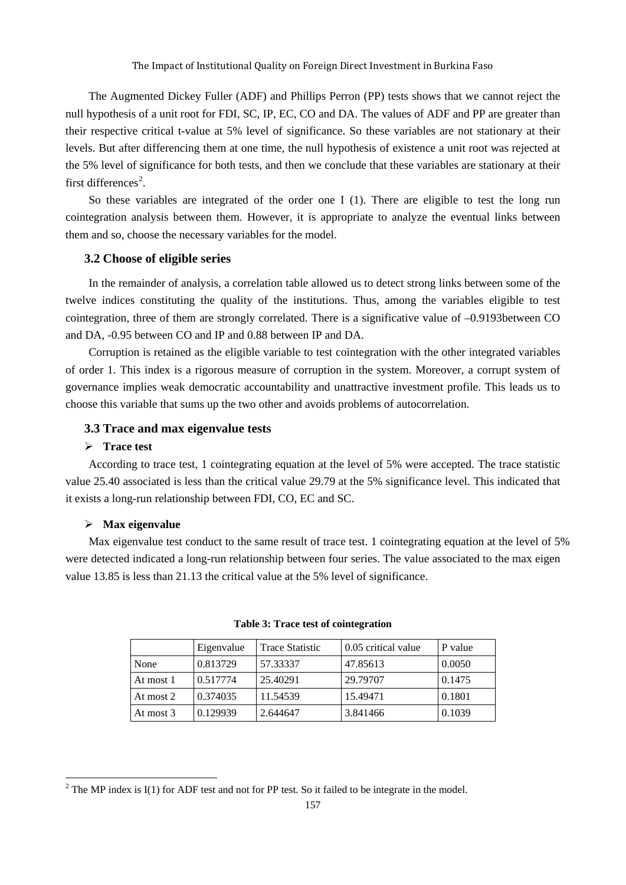The Augmented Dickey Fuller (ADF) and Phillips Perron (PP) tests shows that we cannot reject the null hypothesis of a unit root for FDI, SC, IP, EC, CO and DA. The values of ADF and PP are greater than their respective critical t-value at 5% level of significance. So these variables are not stationary at their levels. But after differencing them at one time, the null hypothesis of existence a unit root was rejected at the 5% level of significance for both tests, and then we conclude that these variables are stationary at their first differences<sup>[2](#page-4-0)</sup>.

So these variables are integrated of the order one I (1). There are eligible to test the long run cointegration analysis between them. However, it is appropriate to analyze the eventual links between them and so, choose the necessary variables for the model.

## **3.2 Choose of eligible series**

In the remainder of analysis, a correlation table allowed us to detect strong links between some of the twelve indices constituting the quality of the institutions. Thus, among the variables eligible to test cointegration, three of them are strongly correlated. There is a significative value of –0.9193between CO and DA, -0.95 between CO and IP and 0.88 between IP and DA.

Corruption is retained as the eligible variable to test cointegration with the other integrated variables of order 1. This index is a rigorous measure of corruption in the system. Moreover, a corrupt system of governance implies weak democratic accountability and unattractive investment profile. This leads us to choose this variable that sums up the two other and avoids problems of autocorrelation.

## **3.3 Trace and max eigenvalue tests**

## **Trace test**

According to trace test, 1 cointegrating equation at the level of 5% were accepted. The trace statistic value 25.40 associated is less than the critical value 29.79 at the 5% significance level. This indicated that it exists a long-run relationship between FDI, CO, EC and SC.

## **Max eigenvalue**

 $\overline{\phantom{a}}$ 

Max eigenvalue test conduct to the same result of trace test. 1 cointegrating equation at the level of 5% were detected indicated a long-run relationship between four series. The value associated to the max eigen value 13.85 is less than 21.13 the critical value at the 5% level of significance.

|           | Eigenvalue | <b>Trace Statistic</b> | 0.05 critical value | P value |
|-----------|------------|------------------------|---------------------|---------|
| None      | 0.813729   | 57.33337               | 47.85613            | 0.0050  |
| At most 1 | 0.517774   | 25.40291               | 29.79707            | 0.1475  |
| At most 2 | 0.374035   | 11.54539               | 15.49471            | 0.1801  |
| At most 3 | 0.129939   | 2.644647               | 3.841466            | 0.1039  |

#### **Table 3: Trace test of cointegration**

<span id="page-4-0"></span><sup>&</sup>lt;sup>2</sup> The MP index is I(1) for ADF test and not for PP test. So it failed to be integrate in the model.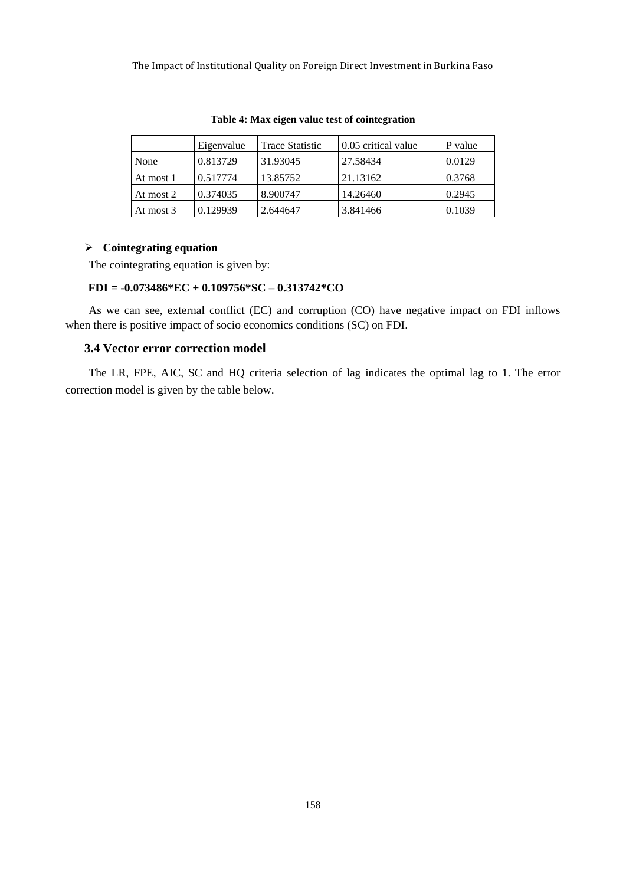|           | Eigenvalue | <b>Trace Statistic</b> | 0.05 critical value | P value |
|-----------|------------|------------------------|---------------------|---------|
| None      | 0.813729   | 31.93045               | 27.58434            | 0.0129  |
| At most 1 | 0.517774   | 13.85752               | 21.13162            | 0.3768  |
| At most 2 | 0.374035   | 8.900747               | 14.26460            | 0.2945  |
| At most 3 | 0.129939   | 2.644647               | 3.841466            | 0.1039  |

**Table 4: Max eigen value test of cointegration**

## **Cointegrating equation**

The cointegrating equation is given by:

## **FDI = -0.073486\*EC + 0.109756\*SC – 0.313742\*CO**

As we can see, external conflict (EC) and corruption (CO) have negative impact on FDI inflows when there is positive impact of socio economics conditions (SC) on FDI.

## **3.4 Vector error correction model**

The LR, FPE, AIC, SC and HQ criteria selection of lag indicates the optimal lag to 1. The error correction model is given by the table below.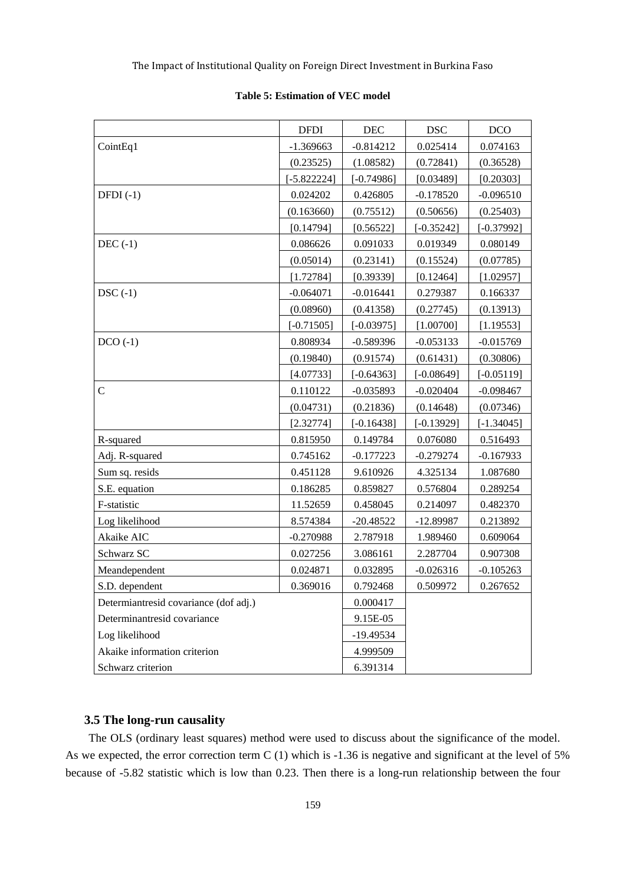|                                       | <b>DFDI</b>   | DEC          | <b>DSC</b>   | <b>DCO</b>   |
|---------------------------------------|---------------|--------------|--------------|--------------|
| CointEq1                              | $-1.369663$   | $-0.814212$  | 0.025414     | 0.074163     |
|                                       | (0.23525)     | (1.08582)    | (0.72841)    | (0.36528)    |
|                                       | $[-5.822224]$ | $[-0.74986]$ | [0.03489]    | [0.20303]    |
| $DFDI(-1)$                            | 0.024202      | 0.426805     | $-0.178520$  | $-0.096510$  |
|                                       | (0.163660)    | (0.75512)    | (0.50656)    | (0.25403)    |
|                                       | [0.14794]     | [0.56522]    | $[-0.35242]$ | $[-0.37992]$ |
| $DEC(-1)$                             | 0.086626      | 0.091033     | 0.019349     | 0.080149     |
|                                       | (0.05014)     | (0.23141)    | (0.15524)    | (0.07785)    |
|                                       | [1.72784]     | [0.39339]    | [0.12464]    | [1.02957]    |
| $DSC(-1)$                             | $-0.064071$   | $-0.016441$  | 0.279387     | 0.166337     |
|                                       | (0.08960)     | (0.41358)    | (0.27745)    | (0.13913)    |
|                                       | $[-0.71505]$  | $[-0.03975]$ | [1.00700]    | [1.19553]    |
| $DCO(-1)$                             | 0.808934      | $-0.589396$  | $-0.053133$  | $-0.015769$  |
|                                       | (0.19840)     | (0.91574)    | (0.61431)    | (0.30806)    |
|                                       | [4.07733]     | $[-0.64363]$ | $[-0.08649]$ | $[-0.05119]$ |
| $\mathbf C$                           | 0.110122      | $-0.035893$  | $-0.020404$  | $-0.098467$  |
|                                       | (0.04731)     | (0.21836)    | (0.14648)    | (0.07346)    |
|                                       | [2.32774]     | $[-0.16438]$ | $[-0.13929]$ | $[-1.34045]$ |
| R-squared                             | 0.815950      | 0.149784     | 0.076080     | 0.516493     |
| Adj. R-squared                        | 0.745162      | $-0.177223$  | $-0.279274$  | $-0.167933$  |
| Sum sq. resids                        | 0.451128      | 9.610926     | 4.325134     | 1.087680     |
| S.E. equation                         | 0.186285      | 0.859827     | 0.576804     | 0.289254     |
| F-statistic                           | 11.52659      | 0.458045     | 0.214097     | 0.482370     |
| Log likelihood                        | 8.574384      | $-20.48522$  | $-12.89987$  | 0.213892     |
| Akaike AIC                            | $-0.270988$   | 2.787918     | 1.989460     | 0.609064     |
| Schwarz SC                            | 0.027256      | 3.086161     | 2.287704     | 0.907308     |
| Meandependent                         | 0.024871      | 0.032895     | $-0.026316$  | $-0.105263$  |
| S.D. dependent                        | 0.369016      | 0.792468     | 0.509972     | 0.267652     |
| Determiantresid covariance (dof adj.) |               | 0.000417     |              |              |
| Determinantresid covariance           |               | 9.15E-05     |              |              |
| Log likelihood                        |               | $-19.49534$  |              |              |
| Akaike information criterion          |               | 4.999509     |              |              |
| Schwarz criterion                     |               | 6.391314     |              |              |

#### **Table 5: Estimation of VEC model**

## **3.5 The long-run causality**

The OLS (ordinary least squares) method were used to discuss about the significance of the model. As we expected, the error correction term C (1) which is -1.36 is negative and significant at the level of 5% because of -5.82 statistic which is low than 0.23. Then there is a long-run relationship between the four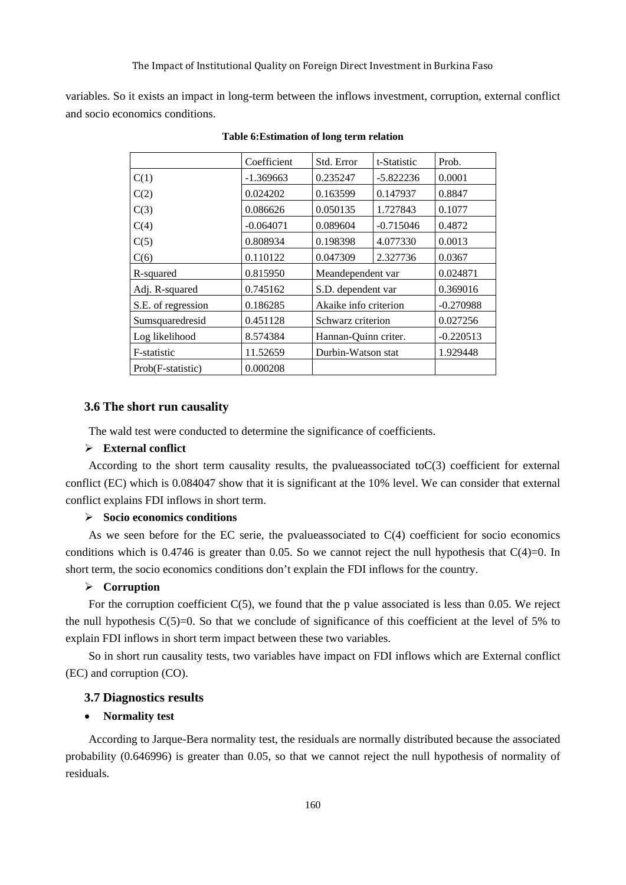variables. So it exists an impact in long-term between the inflows investment, corruption, external conflict and socio economics conditions.

|                    | Coefficient | Std. Error            | t-Statistic | Prob.       |
|--------------------|-------------|-----------------------|-------------|-------------|
| C(1)               | $-1.369663$ | 0.235247              | $-5.822236$ | 0.0001      |
| C(2)               | 0.024202    | 0.163599              | 0.147937    | 0.8847      |
| C(3)               | 0.086626    | 0.050135              | 1.727843    | 0.1077      |
| C(4)               | $-0.064071$ | 0.089604              | $-0.715046$ | 0.4872      |
| C(5)               | 0.808934    | 0.198398              | 4.077330    | 0.0013      |
| C(6)               | 0.110122    | 0.047309              | 2.327736    | 0.0367      |
| R-squared          | 0.815950    | Meandependent var     |             | 0.024871    |
| Adj. R-squared     | 0.745162    | S.D. dependent var    |             | 0.369016    |
| S.E. of regression | 0.186285    | Akaike info criterion |             | $-0.270988$ |
| Sumsquaredresid    | 0.451128    | Schwarz criterion     |             | 0.027256    |
| Log likelihood     | 8.574384    | Hannan-Quinn criter.  |             | $-0.220513$ |
| F-statistic        | 11.52659    | Durbin-Watson stat    |             | 1.929448    |
| Prob(F-statistic)  | 0.000208    |                       |             |             |

**Table 6:Estimation of long term relation**

#### **3.6 The short run causality**

The wald test were conducted to determine the significance of coefficients.

## **External conflict**

According to the short term causality results, the pvalueassociated toC(3) coefficient for external conflict (EC) which is 0.084047 show that it is significant at the 10% level. We can consider that external conflict explains FDI inflows in short term.

## **Socio economics conditions**

As we seen before for the EC serie, the pvalue associated to  $C(4)$  coefficient for socio economics conditions which is 0.4746 is greater than 0.05. So we cannot reject the null hypothesis that  $C(4)=0$ . In short term, the socio economics conditions don't explain the FDI inflows for the country.

## **Corruption**

For the corruption coefficient C(5), we found that the p value associated is less than 0.05. We reject the null hypothesis  $C(5)=0$ . So that we conclude of significance of this coefficient at the level of 5% to explain FDI inflows in short term impact between these two variables.

So in short run causality tests, two variables have impact on FDI inflows which are External conflict (EC) and corruption (CO).

## **3.7 Diagnostics results**

#### • **Normality test**

According to Jarque-Bera normality test, the residuals are normally distributed because the associated probability (0.646996) is greater than 0.05, so that we cannot reject the null hypothesis of normality of residuals.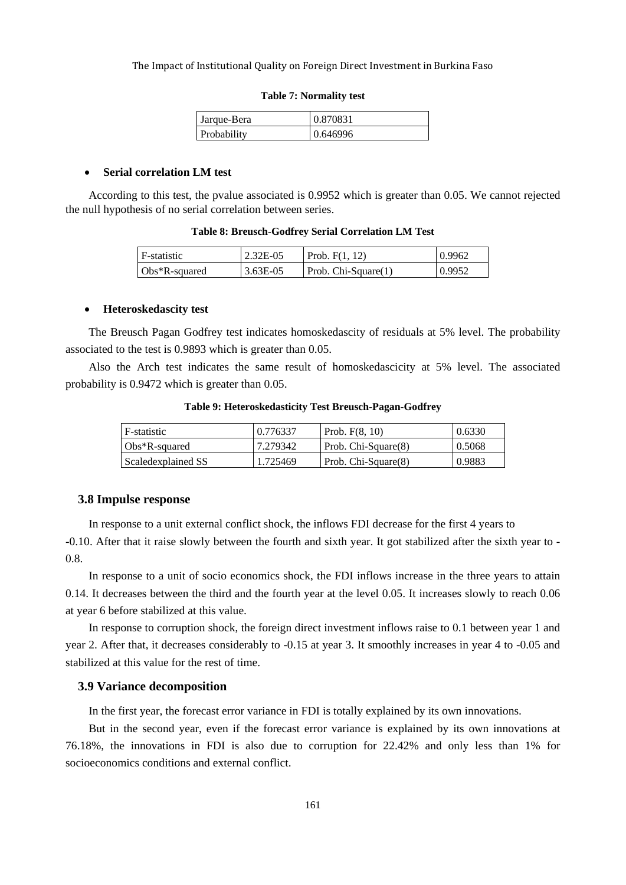| Jarque-Bera | 0.870831 |
|-------------|----------|
| Probability | 0.646996 |

## **Table 7: Normality test**

## • **Serial correlation LM test**

According to this test, the pvalue associated is 0.9952 which is greater than 0.05. We cannot rejected the null hypothesis of no serial correlation between series.

#### **Table 8: Breusch-Godfrey Serial Correlation LM Test**

| l F-statistic    | 2.32E-05   | Prob. $F(1, 12)$               | 0.9962 |
|------------------|------------|--------------------------------|--------|
| $Obs*R$ -squared | $3.63E-05$ | $\vert$ Prob. Chi-Square $(1)$ | 0.9952 |

#### • **Heteroskedascity test**

The Breusch Pagan Godfrey test indicates homoskedascity of residuals at 5% level. The probability associated to the test is 0.9893 which is greater than 0.05.

Also the Arch test indicates the same result of homoskedascicity at 5% level. The associated probability is 0.9472 which is greater than 0.05.

| F-statistic        | 0.776337 | Prob. $F(8, 10)$    | 0.6330 |
|--------------------|----------|---------------------|--------|
| $Obs*R$ -squared   | 7.279342 | Prob. Chi-Square(8) | 0.5068 |
| Scaledexplained SS | 1.725469 | Prob. Chi-Square(8) | 0.9883 |

**Table 9: Heteroskedasticity Test Breusch-Pagan-Godfrey**

## **3.8 Impulse response**

In response to a unit external conflict shock, the inflows FDI decrease for the first 4 years to -0.10. After that it raise slowly between the fourth and sixth year. It got stabilized after the sixth year to - 0.8.

In response to a unit of socio economics shock, the FDI inflows increase in the three years to attain 0.14. It decreases between the third and the fourth year at the level 0.05. It increases slowly to reach 0.06 at year 6 before stabilized at this value.

In response to corruption shock, the foreign direct investment inflows raise to 0.1 between year 1 and year 2. After that, it decreases considerably to -0.15 at year 3. It smoothly increases in year 4 to -0.05 and stabilized at this value for the rest of time.

## **3.9 Variance decomposition**

In the first year, the forecast error variance in FDI is totally explained by its own innovations.

But in the second year, even if the forecast error variance is explained by its own innovations at 76.18%, the innovations in FDI is also due to corruption for 22.42% and only less than 1% for socioeconomics conditions and external conflict.